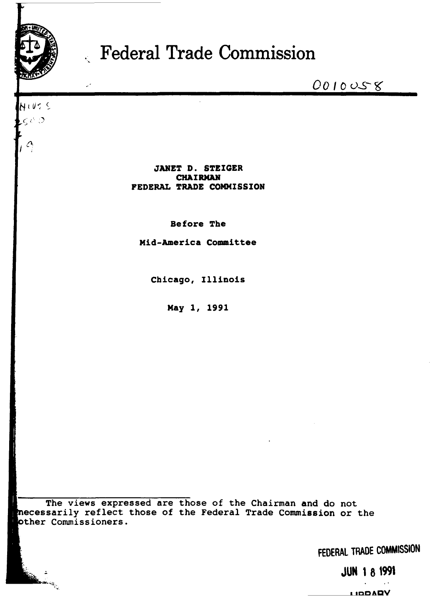

HIVES  $\epsilon$  and

 $\mathcal{L}$ 

# Federal Trade Commission

0010058

**JANET D. STEIGER CHAIRMAN** FEDERAL TRADE COMMISSION

Before The

Mid-America Committee

Chicago, Illinois

May 1, 1991

The views expressed are those of the Chairman and do not mecessarily reflect those of the Federal Trade Commission or the other Commissioners.

FEDERAL TRADE COMMISSION

**JUN 1 8 1991** 

**MAGOLI**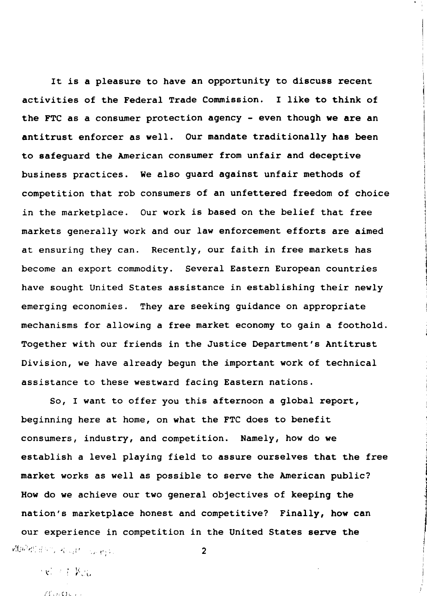It is a pleasure to have an opportunity to discuss recent activities of the Federal Trade Commission. I like to think of the FTC as a consumer protection agency - even though we are an antitrust enforcer as well. Our mandate traditionally has been to safeguard the American consumer from unfair and deceptive business practices. We also guard against unfair methods of competition that rob consumers of an unfettered freedom of choice in the marketplace. Our work is based on the belief that free markets generally work and our law enforcement efforts are aimed at ensuring they can. Recently, our faith in free markets has become an export commodity. Several Eastern European countries have sought United States assistance in establishing their newly emerging economies. They are seeking guidance on appropriate mechanisms for allowing a free market economy to gain a foothold. Together with our friends in the Justice Department's Antitrust Division, we have already begun the important work of technical assistance to these westward facing Eastern nations.

i I I i I l

1 I l la de la componenta de la componenta de la componenta de la componenta de la componenta de la componenta de la

j

|<br>|<br>|

l l i<br>Maria B

)

So, I want to offer you this afternoon a global report, beginning here at home, on what the FTC does to benefit consumers, industry, and competition. Namely, how do we establish a level playing field to assure ourselves that the free market works as well as possible to serve the American public? How do we achieve our two general objectives of keeping the nation's marketplace honest and competitive? Finally, how can our experience in competition in the United States serve the In the set of the set of the set of  $\mathbf{2}$  .  $\mathbf{2}$ 

' *:* ,,: 1 • \;'' ' , ' ~·

 $H_{\text{M}}\Omega_{\text{L}}$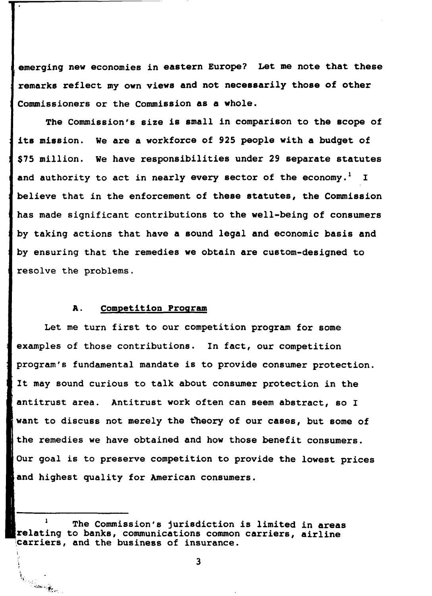emerging new economies in eastern Europe? Let me note that these remarks reflect my own views and not necessarily those of other Commissioners or the Commission as a whole.

The Commission's size is small in comparison to the scope of its mission. We are a workforce of 925 people with a budget of \$75 million. We have responsibilities under 29 separate statutes and authority to act in nearly every sector of the economy.<sup>1</sup> I believe that in the enforcement of these statutes, the Commission has made significant contributions to the well-being of consumers by taking actions that have a sound legal and economic basis and by ensuring that the remedies we obtain are custom-designed to resolve the problems.

### A. Competition Program

Let me turn first to our competition program for some examples of those contributions. In fact, our competition program's fundamental mandate is to provide consumer protection. It may sound curious to talk about consumer protection in the antitrust area. Antitrust work often can seem abstract, so I want to discuss not merely the theory of our cases, but some of the remedies we have obtained and how those benefit consumers. Our goal is to preserve competition to provide the lowest prices and highest quality for American consumers.

I ,. ',

Karamana ya Karamana ya Karamana ya Karamana ya Karamana ya Karamana ya Karamana ya Karamana ya Karamana ya Karamana ya Karamana ya Karamana ya Karamana ya Karamana ya Karamana ya Karamana ya Karamana ya Karamana ya Karama

The Commission's jurisdiction is limited in areas relating to banks, communications common carriers, airline carriers, and the business of insurance.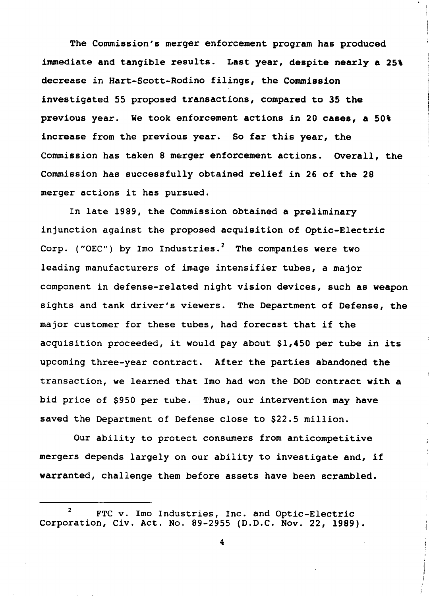The Commission's merger enforcement program has produced immediate and tangible results. Last year, despite nearly a 25% decrease in Hart-Scott-Rodino filings, the Commission investigated 55 proposed transactions, compared to 35 the previous year. We took enforcement actions in 20 cases, a 50% increase from the previous year. So far this year, the Commission has taken 8 merger enforcement actions. Overall, the Commission has successfully obtained relief in 26 of the 28 merger actions it has pursued.

In late 1989, the Commission obtained a preliminary injunction against the proposed acquisition of Optic-Electric Corp. ("OEC") by Imo Industries.<sup>2</sup> The companies were two leading manufacturers of image intensifier tubes, a major component in defense-related night vision devices, such as weapon sights and tank driver's viewers. The Department of Defense, the major customer for these tubes, had forecast that if the acquisition proceeded, it would pay about \$1,450 per tube in its upcoming three-year contract. After the parties abandoned the transaction, we learned that Imo had won the DOD contract with a bid price of \$950 per tube. Thus, our intervention may have saved the Department of Defense close to \$22.5 million.

Our ability to protect consumers from anticompetitive mergers depends largely on our ability to investigate and, if warranted, challenge them before assets have been scrambled.

<sup>&</sup>lt;sup>2</sup> FTC v. Imo Industries, Inc. and Optic-Electric Corporation, Civ. Act. No. 89-2955 (D.D.C. Nov. 22, 1989).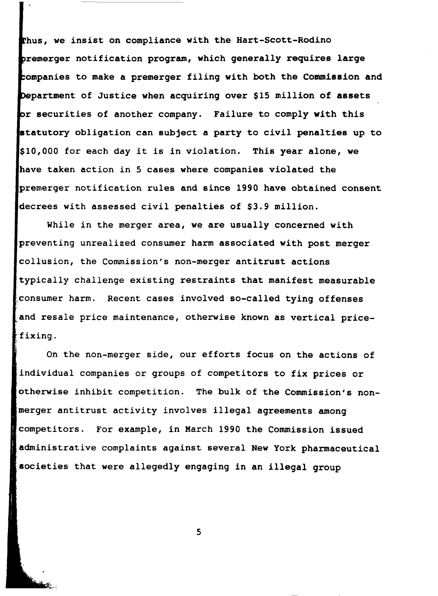thus, we insist on compliance with the Hart-Scott-Rodino premerger notification program, which generally requires large companies to make a premerger filing with both the Commission and Department of Justice when acquiring over \$15 million of assets or securities of another company. Failure to comply with this statutory obligation can subject a party to civil penalties up to 10,000 for each day it is in violation. This year alone, we have taken action in 5 cases where companies violated the premerger notification rules and since 1990 have obtained consent decrees with assessed civil penalties of \$3.9 million.

While in the merger area, we are usually concerned with preventing unrealized consumer harm associated with post merger collusion, the Commission's non-merger antitrust actions typically challenge existing restraints that manifest measurable consumer harm. Recent cases involved so-called tying offenses and resale price maintenance, otherwise known as vertical pricefixing.

On the non-merger side, our efforts focus on the actions of individual companies or groups of competitors to fix prices or otherwise inhibit competition. The bulk of the Commission's nonmerger antitrust activity involves illegal agreements among competitors. For example, in March 1990 the Commission issued administrative complaints against several New York pharmaceutical societies that were allegedly engaging in an illegal group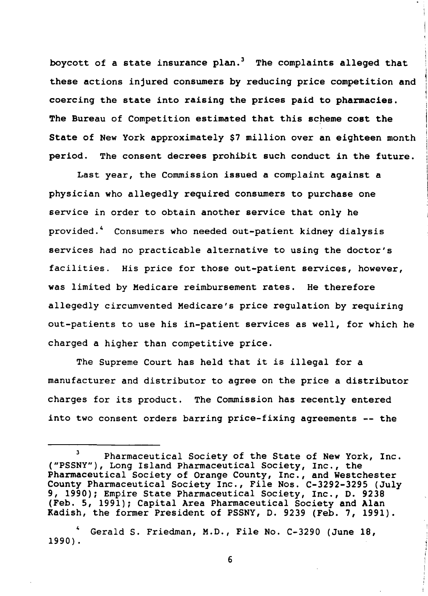boycott of a state insurance plan.<sup>3</sup> The complaints alleged that these actions injured consumers by reducing price competition and coercing the state into raising the prices paid to pharmacies. The Bureau of Competition estimated that this scheme cost the State of New York approximately \$7 million over an eighteen month period. The consent decrees prohibit such conduct in the future.

Last year, the Commission issued a complaint against a physician who allegedly required consumers to purchase one service in order to obtain another service that only he provided.' Consumers who needed out-patient kidney dialysis services had no practicable alternative to using the doctor's facilities. His price for those out-patient services, however, was limited by Medicare reimbursement rates. He therefore allegedly circumvented Medicare's price regulation by requiring out-patients to use his in-patient services as well, for which he charged a higher than competitive price.

The Supreme Court has held that it is illegal for a manufacturer and distributor to agree on the price a distributor charges for its product. The Commission has recently entered into two consent orders barring price-fixing agreements -- the

<sup>&</sup>lt;sup>3</sup> Pharmaceutical Society of the State of New York, Inc. ("PSSNY"), Long Island Pharmaceutical Society, Inc., the Pharmaceutical Society of Orange County, Inc., and Westchester County Pharmaceutical Society Inc., File Nos. C-3292-3295 (July 9, 1990); Empire State Pharmaceutical Society, Inc., D. 9238 (Feb. 5, 1991); Capital Area Pharmaceutical Society and Alan Kadish, the former President of PSSNY, D. 9239 (Feb. 7, 1991).

Gerald S. Friedman, M.D., File No. C-3290 (June 18, 1990).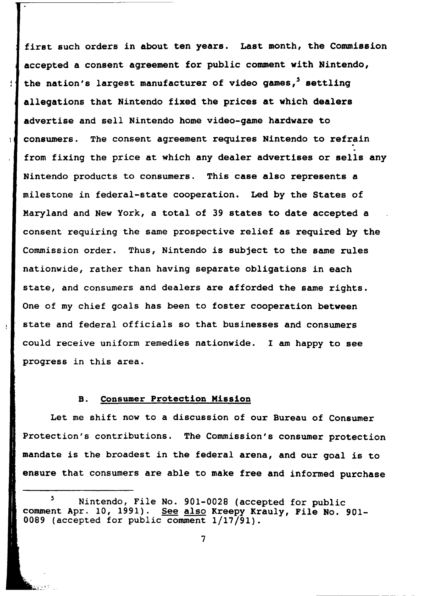first such orders in about ten years. Last month, the Commission accepted a consent agreement for public comment with Nintendo, the nation's largest manufacturer of video games,<sup>5</sup> settling allegations that Nintendo fixed the prices at which dealers advertise and sell Nintendo home video-game hardware to consumers. The consent agreement requires Nintendo to refrain from fixing the price at which any dealer advertises or sells any Nintendo products to consumers. This case also represents a milestone in federal-state cooperation. Led by the States of Maryland and New York, a total of 39 states to date accepted a consent requiring the same prospective relief as required by the Commission order. Thus, Nintendo is subject to the same rules nationwide, rather than having separate obligations in each state, and consumers and dealers are afforded the same rights. One of my chief goals has been to foster cooperation between state and federal officials so that businesses and consumers could receive uniform remedies nationwide. I am happy to see progress in this area.

### B. Consumer Protection Mission

ł

 $\mathbf{I}$ 

 $\pmb{\mathfrak{z}}$ 

Let me shift now to a discussion of our Bureau of Consumer Protection's contributions. The Commission's consumer protection mandate is the broadest in the federal arena, and our goal is to ensure that consumers are able to make free and informed purchase

<sup>&</sup>lt;sup>5</sup> Nintendo, File No. 901-0028 (accepted for public comment Apr. 10, 1991). See also Kreepy Krauly, File No. 901-0089 (accepted for public comment 1/17/91).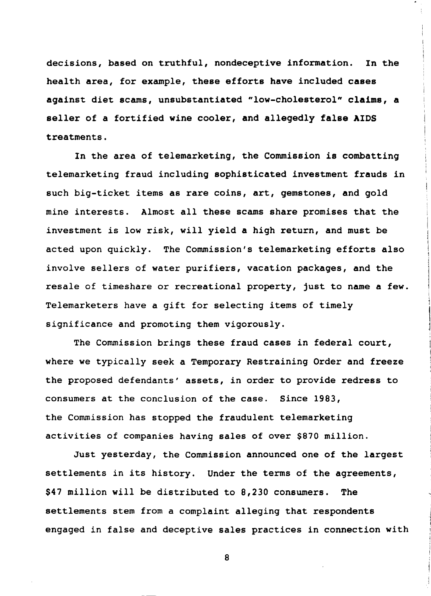decisions, based on truthful, nondeceptive information. In the health area, for example, these efforts have included cases against diet scams, unsubstantiated "low-cholesterol" claims, a seller of a fortified wine cooler, and allegedly false AIDS treatments.

In the area of telemarketing, the Commission is combatting telemarketing fraud including sophisticated investment frauds in such big-ticket items as rare coins, art, gemstones, and gold mine interests. Almost all these scams share promises that the investment is low risk, will yield a high return, and must be acted upon quickly. The Commission's telemarketing efforts also involve sellers of water purifiers, vacation packages, and the resale of timeshare or recreational property, just to name a few. Telemarketers have a gift for selecting items of timely significance and promoting them vigorously.

The Commission brings these fraud cases in federal court, where we typically seek a Temporary Restraining Order and freeze the proposed defendants' assets, in order to provide redress to consumers at the conclusion of the case. Since 1983, the Commission has stopped the fraudulent telemarketing activities of companies having sales of over \$870 million.

Just yesterday, the Commission announced one of the largest settlements in its history. Under the terms of the agreements, \$47 million will be distributed to 8,230 consumers. The settlements stem from a complaint alleging that respondents engaged in false and deceptive sales practices in connection with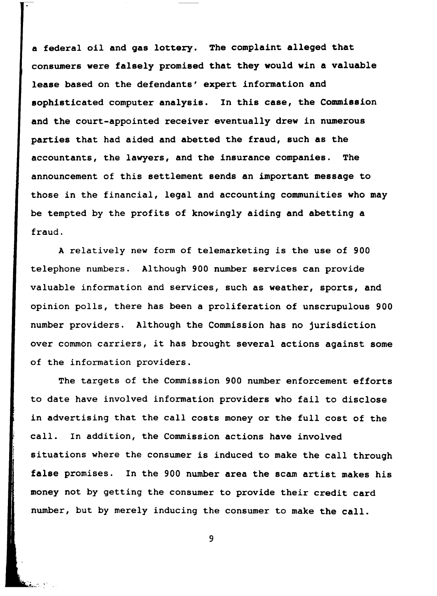a federal oil and gas lottery. The complaint alleged that consumers were falsely promised that they would win a valuable lease based on the defendants' expert information and sophisticated computer analysis. In this case, the Commission and the court-appointed receiver eventually drew in numerous parties that had aided and abetted the fraud, such as the accountants, the lawyers, and the insurance companies. The announcement of this settlement sends an important message to those in the financial, legal and accounting communities who may be tempted by the profits of knowingly aiding and abetting a fraud.

A relatively new form of telemarketing is the use of 900 telephone numbers. Although 900 number services can provide valuable information and services, such as weather, sports, and opinion polls, there has been a proliferation of unscrupulous 900 number providers. Although the Commission has no jurisdiction over common carriers, it has brought several actions against some of the information providers.

The targets of the Commission 900 number enforcement efforts to date have involved information providers who fail to disclose in advertising that the call costs money or the full cost of the call. In addition, the Commission actions have involved situations where the consumer is induced to make the call through false promises. In the 900 number area the scam artist makes his money not by getting the consumer to provide their credit card number, but by merely inducing the consumer to make the call.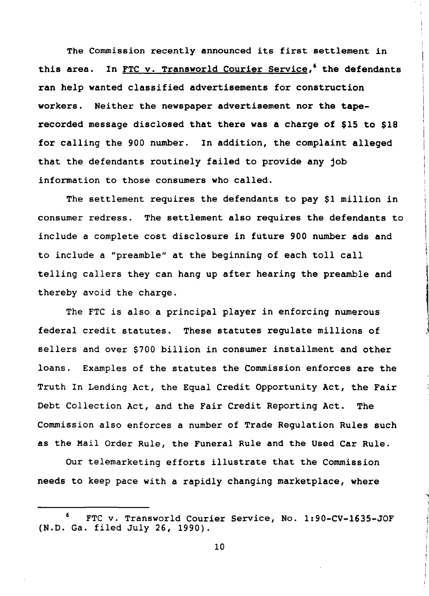The Commission recently announced its first settlement in In FTC v. Transworld Courier Service,<sup>6</sup> the defendants this area. ran help wanted classified advertisements for construction workers. Neither the newspaper advertisement nor the taperecorded message disclosed that there was a charge of \$15 to \$18 for calling the 900 number. In addition, the complaint alleged that the defendants routinely failed to provide any job information to those consumers who called.

The settlement requires the defendants to pay \$1 million in consumer redress. The settlement also requires the defendants to include a complete cost disclosure in future 900 number ads and to include a "preamble" at the beginning of each toll call telling callers they can hang up after hearing the preamble and thereby avoid the charge.

The FTC is also a principal player in enforcing numerous federal credit statutes. These statutes regulate millions of sellers and over \$700 billion in consumer installment and other loans. Examples of the statutes the Commission enforces are the Truth In Lending Act, the Equal Credit Opportunity Act, the Fair Debt Collection Act, and the Fair Credit Reporting Act. **The** Commission also enforces a number of Trade Requlation Rules such as the Mail Order Rule, the Funeral Rule and the Used Car Rule.

Our telemarketing efforts illustrate that the Commission needs to keep pace with a rapidly changing marketplace, where

<sup>6</sup> FTC v. Transworld Courier Service, No. 1:90-CV-1635-JOF (N.D. Ga. filed July 26, 1990).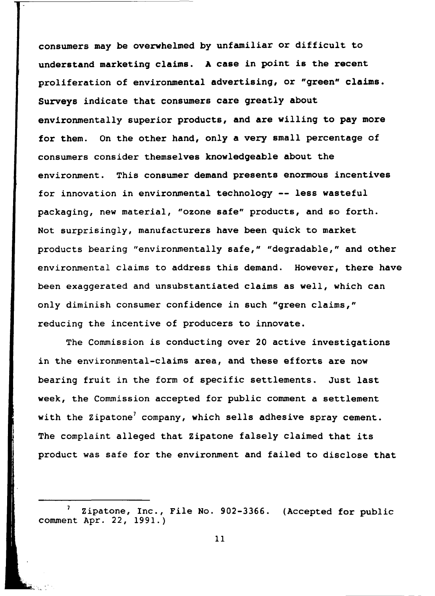consumers may be overwhelmed by unfamiliar or difficult to understand marketing claims. A case in point is the recent proliferation of environmental advertising, or "green" claims. Surveys indicate that consumers care greatly about environmentally superior products, and are willing to pay more for them. On the other hand, only a very small percentage of consumers consider themselves knowledgeable about the environment. This consumer demand presents enormous incentives for innovation in environmental technology -- less wasteful packaging, new material, "ozone safe" products, and so forth. Not surprisingly, manufacturers have been quick to market products bearing "environmentally safe," "degradable," and other environmental claims to address this demand. However, there have been exaggerated and unsubstantiated claims as well, which can only diminish consumer confidence in such "green claims," reducing the incentive of producers to innovate.

The Commission is conducting over 20 active investigations in the environmental-claims area, and these efforts are now bearing fruit in the form of specific settlements. Just last week, the Commission accepted for public comment a settlement with the Zipatone' company, which sells adhesive spray cement. The complaint alleged that Zipatone falsely claimed that its product was safe for the environment and failed to disclose that

Zipatone, Inc., File No. 902-3366. (Accepted for public comment Apr. 22, 1991.)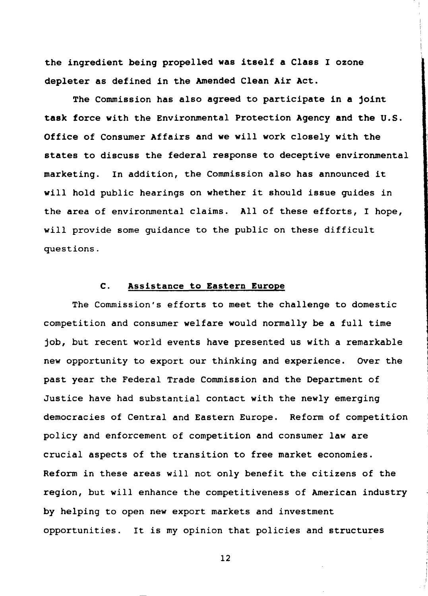the ingredient being propelled was itself a Class I ozone depleter as defined in the Amended Clean Air Act.

The Commission has also agreed to participate in a joint task force with the Environmental Protection Agency and the U.S. Office of Consumer Affairs and we will work closely with the states to discuss the federal response to deceptive environmental marketing. In addition, the Commission also has announced it will hold public hearings on whether it should issue quides in the area of environmental claims. All of these efforts, I hope, will provide some quidance to the public on these difficult questions.

#### $\mathbf{C}$ . Assistance to Eastern Europe

The Commission's efforts to meet the challenge to domestic competition and consumer welfare would normally be a full time job, but recent world events have presented us with a remarkable new opportunity to export our thinking and experience. Over the past year the Federal Trade Commission and the Department of Justice have had substantial contact with the newly emerging democracies of Central and Eastern Europe. Reform of competition policy and enforcement of competition and consumer law are crucial aspects of the transition to free market economies. Reform in these areas will not only benefit the citizens of the region, but will enhance the competitiveness of American industry by helping to open new export markets and investment opportunities. It is my opinion that policies and structures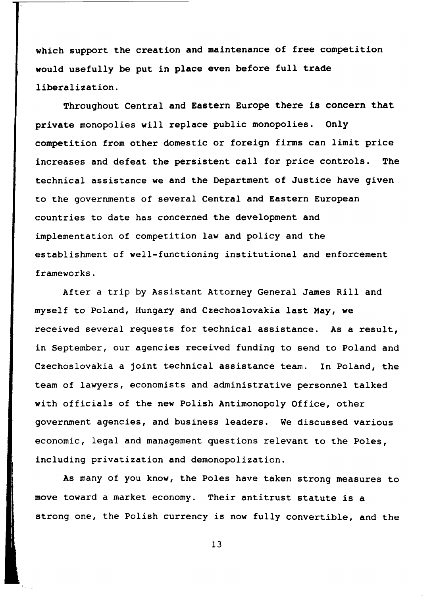which support the creation and maintenance of free competition would usefully be put in place even before full trade liberalization.

Throughout Central and Eastern Europe there is concern that private monopolies will replace public monopolies. Only competition from other domestic or foreign firms can limit price increases and defeat the persistent call for price controls. **The** technical assistance we and the Department of Justice have given to the governments of several Central and Eastern European countries to date has concerned the development and implementation of competition law and policy and the establishment of well-functioning institutional and enforcement frameworks.

After a trip by Assistant Attorney General James Rill and myself to Poland, Hungary and Czechoslovakia last May, we received several requests for technical assistance. As a result, in September, our agencies received funding to send to Poland and Czechoslovakia a joint technical assistance team. In Poland, the team of lawyers, economists and administrative personnel talked with officials of the new Polish Antimonopoly Office, other government agencies, and business leaders. We discussed various economic, legal and management questions relevant to the Poles, including privatization and demonopolization.

As many of you know, the Poles have taken strong measures to move toward a market economy. Their antitrust statute is a strong one, the Polish currency is now fully convertible, and the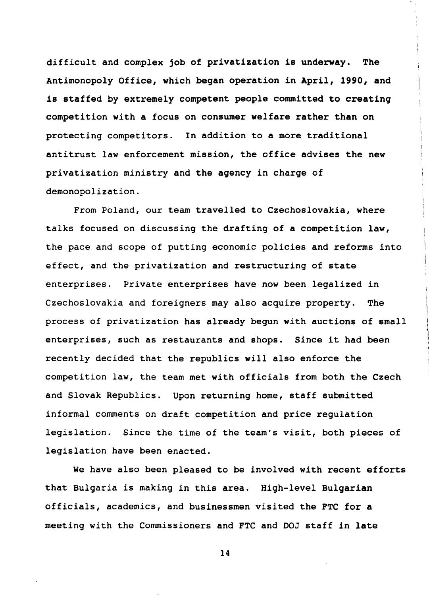difficult and complex job of privatization is underway. The Antimonopoly Office, which began operation in April, 1990, and is staffed by extremely competent people committed to creating competition with a focus on consumer welfare rather than on protecting competitors. In addition to a more traditional antitrust law enforcement mission, the office advises the new privatization ministry and the agency in charge of demonopolization.

From Poland, our team travelled to Czechoslovakia, where talks focused on discussing the drafting of a competition law, the pace and scope of putting economic policies and reforms into effect, and the privatization and restructuring of state enterprises. Private enterprises have now been legalized in Czechoslovakia and foreigners may also acquire property. **The** process of privatization has already begun with auctions of small enterprises, such as restaurants and shops. Since it had been recently decided that the republics will also enforce the competition law, the team met with officials from both the Czech and Slovak Republics. Upon returning home, staff submitted informal comments on draft competition and price regulation legislation. Since the time of the team's visit, both pieces of legislation have been enacted.

We have also been pleased to be involved with recent efforts that Bulgaria is making in this area. High-level Bulgarian officials, academics, and businessmen visited the FTC for a meeting with the Commissioners and FTC and DOJ staff in late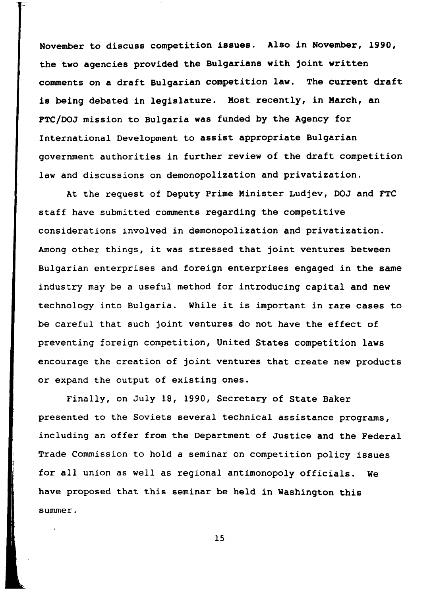November to discuss competition issues. Also in November, 1990, the two agencies provided the Bulgarians with joint written comments on a draft Bulgarian competition law. The current draft is being debated in legislature. Most recently, in March, an FTC/DOJ mission to Bulgaria was funded by the Agency for International Development to assist appropriate Bulgarian government authorities in further review of the draft competition law and discussions on demonopolization and privatization.

At the request of Deputy Prime Minister Ludjev, DOJ and FTC staff have submitted comments regarding the competitive considerations involved in demonopolization and privatization. Among other things, it was stressed that joint ventures between Bulgarian enterprises and foreign enterprises engaged in the same industry may be a useful method for introducing capital and new technology into Bulgaria. While it is important in rare cases to be careful that such joint ventures do not have the effect of preventing foreign competition, United States competition laws encourage the creation of joint ventures that create new products or expand the output of existing ones.

Finally, on July 18, 1990, Secretary of State Baker presented to the Soviets several technical assistance programs, including an offer from the Department of Justice and the Federal Trade Commission to hold a seminar on competition policy issues for all union as well as regional antimonopoly officials. We have proposed that this seminar be held in Washington this  $summer.$